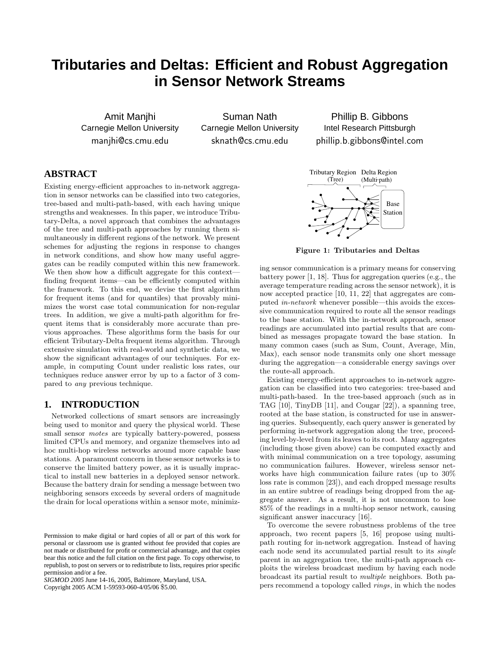# **Tributaries and Deltas: Efficient and Robust Aggregation in Sensor Network Streams**

Amit Manjhi Carnegie Mellon University manjhi@cs.cmu.edu

Suman Nath Carnegie Mellon University sknath@cs.cmu.edu

Phillip B. Gibbons Intel Research Pittsburgh phillip.b.gibbons@intel.com

## (Tree) Base Station (Multi-path) Tributary Region Delta Region

Figure 1: Tributaries and Deltas

ing sensor communication is a primary means for conserving battery power [1, 18]. Thus for aggregation queries (e.g., the average temperature reading across the sensor network), it is now accepted practice [10, 11, 22] that aggregates are computed in-network whenever possible—this avoids the excessive communication required to route all the sensor readings to the base station. With the in-network approach, sensor readings are accumulated into partial results that are combined as messages propagate toward the base station. In many common cases (such as Sum, Count, Average, Min, Max), each sensor node transmits only one short message during the aggregation—a considerable energy savings over the route-all approach.

Existing energy-efficient approaches to in-network aggregation can be classified into two categories: tree-based and multi-path-based. In the tree-based approach (such as in TAG [10], TinyDB [11], and Cougar [22]), a spanning tree, rooted at the base station, is constructed for use in answering queries. Subsequently, each query answer is generated by performing in-network aggregation along the tree, proceeding level-by-level from its leaves to its root. Many aggregates (including those given above) can be computed exactly and with minimal communication on a tree topology, assuming no communication failures. However, wireless sensor networks have high communication failure rates (up to 30% loss rate is common [23]), and each dropped message results in an entire subtree of readings being dropped from the aggregate answer. As a result, it is not uncommon to lose 85% of the readings in a multi-hop sensor network, causing significant answer inaccuracy [16].

To overcome the severe robustness problems of the tree approach, two recent papers [5, 16] propose using multipath routing for in-network aggregation. Instead of having each node send its accumulated partial result to its single parent in an aggregation tree, the multi-path approach exploits the wireless broadcast medium by having each node broadcast its partial result to multiple neighbors. Both papers recommend a topology called rings, in which the nodes

## **ABSTRACT**

Existing energy-efficient approaches to in-network aggregation in sensor networks can be classified into two categories, tree-based and multi-path-based, with each having unique strengths and weaknesses. In this paper, we introduce Tributary-Delta, a novel approach that combines the advantages of the tree and multi-path approaches by running them simultaneously in different regions of the network. We present schemes for adjusting the regions in response to changes in network conditions, and show how many useful aggregates can be readily computed within this new framework. We then show how a difficult aggregate for this context finding frequent items—can be efficiently computed within the framework. To this end, we devise the first algorithm for frequent items (and for quantiles) that provably minimizes the worst case total communication for non-regular trees. In addition, we give a multi-path algorithm for frequent items that is considerably more accurate than previous approaches. These algorithms form the basis for our efficient Tributary-Delta frequent items algorithm. Through extensive simulation with real-world and synthetic data, we show the significant advantages of our techniques. For example, in computing Count under realistic loss rates, our techniques reduce answer error by up to a factor of 3 compared to any previous technique.

## **1. INTRODUCTION**

Networked collections of smart sensors are increasingly being used to monitor and query the physical world. These small sensor *motes* are typically battery-powered, possess limited CPUs and memory, and organize themselves into ad hoc multi-hop wireless networks around more capable base stations. A paramount concern in these sensor networks is to conserve the limited battery power, as it is usually impractical to install new batteries in a deployed sensor network. Because the battery drain for sending a message between two neighboring sensors exceeds by several orders of magnitude the drain for local operations within a sensor mote, minimiz-

*SIGMOD 2005* June 14-16, 2005, Baltimore, Maryland, USA.

Copyright 2005 ACM 1-59593-060-4/05/06 \$5.00.

Permission to make digital or hard copies of all or part of this work for personal or classroom use is granted without fee provided that copies are not made or distributed for profit or commercial advantage, and that copies bear this notice and the full citation on the first page. To copy otherwise, to republish, to post on servers or to redistribute to lists, requires prior specific permission and/or a fee.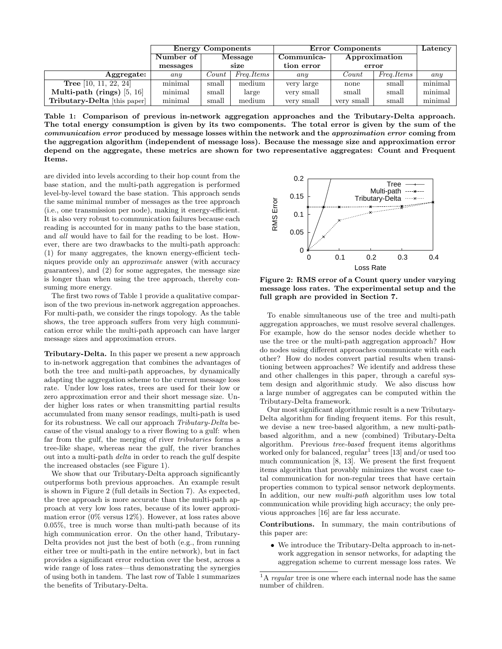|                              | <b>Energy Components</b> |         |             | <b>Error Components</b> | Latency       |             |         |
|------------------------------|--------------------------|---------|-------------|-------------------------|---------------|-------------|---------|
|                              | Number of                | Message |             | Communica-              | Approximation |             |         |
|                              | messages                 | size    |             | tion error              | error         |             |         |
| Aggregate:                   | any                      | Count   | Freq. Items | any                     | Count         | Freq. Items | any     |
| <b>Tree</b> [10, 11, 22, 24] | minimal                  | small   | medium      | very large              | none          | small       | minimal |
| Multi-path (rings) $[5, 16]$ | minimal                  | small   | large       | very small              | small         | small       | minimal |
| Tributary-Delta [this paper] | minimal                  | small   | medium      | very small              | very small    | small       | minimal |

Table 1: Comparison of previous in-network aggregation approaches and the Tributary-Delta approach. The total energy consumption is given by its two components. The total error is given by the sum of the communication error produced by message losses within the network and the approximation error coming from the aggregation algorithm (independent of message loss). Because the message size and approximation error depend on the aggregate, these metrics are shown for two representative aggregates: Count and Frequent Items.

are divided into levels according to their hop count from the base station, and the multi-path aggregation is performed level-by-level toward the base station. This approach sends the same minimal number of messages as the tree approach (i.e., one transmission per node), making it energy-efficient. It is also very robust to communication failures because each reading is accounted for in many paths to the base station, and all would have to fail for the reading to be lost. However, there are two drawbacks to the multi-path approach: (1) for many aggregates, the known energy-efficient techniques provide only an approximate answer (with accuracy guarantees), and (2) for some aggregates, the message size is longer than when using the tree approach, thereby consuming more energy.

The first two rows of Table 1 provide a qualitative comparison of the two previous in-network aggregation approaches. For multi-path, we consider the rings topology. As the table shows, the tree approach suffers from very high communication error while the multi-path approach can have larger message sizes and approximation errors.

Tributary-Delta. In this paper we present a new approach to in-network aggregation that combines the advantages of both the tree and multi-path approaches, by dynamically adapting the aggregation scheme to the current message loss rate. Under low loss rates, trees are used for their low or zero approximation error and their short message size. Under higher loss rates or when transmitting partial results accumulated from many sensor readings, multi-path is used for its robustness. We call our approach Tributary-Delta because of the visual analogy to a river flowing to a gulf: when far from the gulf, the merging of river tributaries forms a tree-like shape, whereas near the gulf, the river branches out into a multi-path delta in order to reach the gulf despite the increased obstacles (see Figure 1).

We show that our Tributary-Delta approach significantly outperforms both previous approaches. An example result is shown in Figure 2 (full details in Section 7). As expected, the tree approach is more accurate than the multi-path approach at very low loss rates, because of its lower approximation error (0% versus 12%). However, at loss rates above 0.05%, tree is much worse than multi-path because of its high communication error. On the other hand, Tributary-Delta provides not just the best of both (e.g., from running either tree or multi-path in the entire network), but in fact provides a significant error reduction over the best, across a wide range of loss rates—thus demonstrating the synergies of using both in tandem. The last row of Table 1 summarizes the benefits of Tributary-Delta.



Figure 2: RMS error of a Count query under varying message loss rates. The experimental setup and the full graph are provided in Section 7.

To enable simultaneous use of the tree and multi-path aggregation approaches, we must resolve several challenges. For example, how do the sensor nodes decide whether to use the tree or the multi-path aggregation approach? How do nodes using different approaches communicate with each other? How do nodes convert partial results when transitioning between approaches? We identify and address these and other challenges in this paper, through a careful system design and algorithmic study. We also discuss how a large number of aggregates can be computed within the Tributary-Delta framework.

Our most significant algorithmic result is a new Tributary-Delta algorithm for finding frequent items. For this result, we devise a new tree-based algorithm, a new multi-pathbased algorithm, and a new (combined) Tributary-Delta algorithm. Previous tree-based frequent items algorithms worked only for balanced, regular<sup>1</sup> trees [13] and/or used too much communication [8, 13]. We present the first frequent items algorithm that provably minimizes the worst case total communication for non-regular trees that have certain properties common to typical sensor network deployments. In addition, our new *multi-path* algorithm uses low total communication while providing high accuracy; the only previous approaches [16] are far less accurate.

Contributions. In summary, the main contributions of this paper are:

• We introduce the Tributary-Delta approach to in-network aggregation in sensor networks, for adapting the aggregation scheme to current message loss rates. We

 $1A$  *regular* tree is one where each internal node has the same number of children.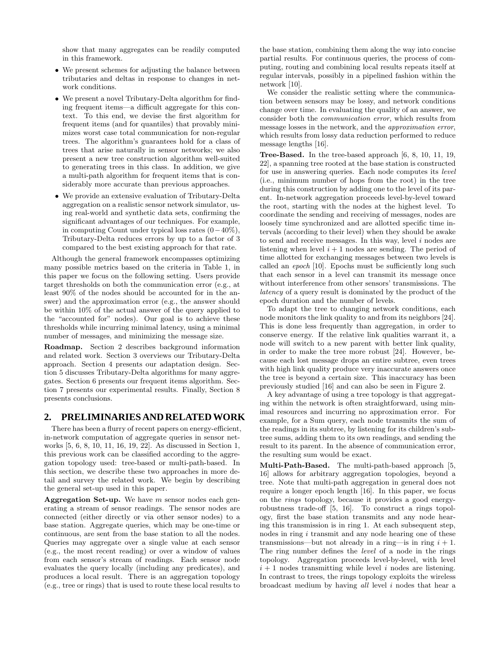show that many aggregates can be readily computed in this framework.

- We present schemes for adjusting the balance between tributaries and deltas in response to changes in network conditions.
- We present a novel Tributary-Delta algorithm for finding frequent items—a difficult aggregate for this context. To this end, we devise the first algorithm for frequent items (and for quantiles) that provably minimizes worst case total communication for non-regular trees. The algorithm's guarantees hold for a class of trees that arise naturally in sensor networks; we also present a new tree construction algorithm well-suited to generating trees in this class. In addition, we give a multi-path algorithm for frequent items that is considerably more accurate than previous approaches.
- We provide an extensive evaluation of Tributary-Delta aggregation on a realistic sensor network simulator, using real-world and synthetic data sets, confirming the significant advantages of our techniques. For example, in computing Count under typical loss rates  $(0-40\%)$ , Tributary-Delta reduces errors by up to a factor of 3 compared to the best existing approach for that rate.

Although the general framework encompasses optimizing many possible metrics based on the criteria in Table 1, in this paper we focus on the following setting. Users provide target thresholds on both the communication error (e.g., at least 90% of the nodes should be accounted for in the answer) and the approximation error (e.g., the answer should be within 10% of the actual answer of the query applied to the "accounted for" nodes). Our goal is to achieve these thresholds while incurring minimal latency, using a minimal number of messages, and minimizing the message size.

Roadmap. Section 2 describes background information and related work. Section 3 overviews our Tributary-Delta approach. Section 4 presents our adaptation design. Section 5 discusses Tributary-Delta algorithms for many aggregates. Section 6 presents our frequent items algorithm. Section 7 presents our experimental results. Finally, Section 8 presents conclusions.

## **2. PRELIMINARIES AND RELATED WORK**

There has been a flurry of recent papers on energy-efficient, in-network computation of aggregate queries in sensor networks [5, 6, 8, 10, 11, 16, 19, 22]. As discussed in Section 1, this previous work can be classified according to the aggregation topology used: tree-based or multi-path-based. In this section, we describe these two approaches in more detail and survey the related work. We begin by describing the general set-up used in this paper.

Aggregation Set-up. We have  $m$  sensor nodes each generating a stream of sensor readings. The sensor nodes are connected (either directly or via other sensor nodes) to a base station. Aggregate queries, which may be one-time or continuous, are sent from the base station to all the nodes. Queries may aggregate over a single value at each sensor (e.g., the most recent reading) or over a window of values from each sensor's stream of readings. Each sensor node evaluates the query locally (including any predicates), and produces a local result. There is an aggregation topology (e.g., tree or rings) that is used to route these local results to

the base station, combining them along the way into concise partial results. For continuous queries, the process of computing, routing and combining local results repeats itself at regular intervals, possibly in a pipelined fashion within the network [10].

We consider the realistic setting where the communication between sensors may be lossy, and network conditions change over time. In evaluating the quality of an answer, we consider both the communication error, which results from message losses in the network, and the approximation error, which results from lossy data reduction performed to reduce message lengths [16].

Tree-Based. In the tree-based approach [6, 8, 10, 11, 19, 22], a spanning tree rooted at the base station is constructed for use in answering queries. Each node computes its level (i.e., minimum number of hops from the root) in the tree during this construction by adding one to the level of its parent. In-network aggregation proceeds level-by-level toward the root, starting with the nodes at the highest level. To coordinate the sending and receiving of messages, nodes are loosely time synchronized and are allotted specific time intervals (according to their level) when they should be awake to send and receive messages. In this way, level  $i$  nodes are listening when level  $i + 1$  nodes are sending. The period of time allotted for exchanging messages between two levels is called an epoch [10]. Epochs must be sufficiently long such that each sensor in a level can transmit its message once without interference from other sensors' transmissions. The latency of a query result is dominated by the product of the epoch duration and the number of levels.

To adapt the tree to changing network conditions, each node monitors the link quality to and from its neighbors [24]. This is done less frequently than aggregation, in order to conserve energy. If the relative link qualities warrant it, a node will switch to a new parent with better link quality, in order to make the tree more robust [24]. However, because each lost message drops an entire subtree, even trees with high link quality produce very inaccurate answers once the tree is beyond a certain size. This inaccuracy has been previously studied [16] and can also be seen in Figure 2.

A key advantage of using a tree topology is that aggregating within the network is often straightforward, using minimal resources and incurring no approximation error. For example, for a Sum query, each node transmits the sum of the readings in its subtree, by listening for its children's subtree sums, adding them to its own readings, and sending the result to its parent. In the absence of communication error, the resulting sum would be exact.

Multi-Path-Based. The multi-path-based approach [5, 16] allows for arbitrary aggregation topologies, beyond a tree. Note that multi-path aggregation in general does not require a longer epoch length [16]. In this paper, we focus on the rings topology, because it provides a good energyrobustness trade-off [5, 16]. To construct a rings topology, first the base station transmits and any node hearing this transmission is in ring 1. At each subsequent step, nodes in ring  $i$  transmit and any node hearing one of these transmissions—but not already in a ring—is in ring  $i + 1$ . The ring number defines the level of a node in the rings topology. Aggregation proceeds level-by-level, with level  $i + 1$  nodes transmitting while level i nodes are listening. In contrast to trees, the rings topology exploits the wireless broadcast medium by having all level i nodes that hear a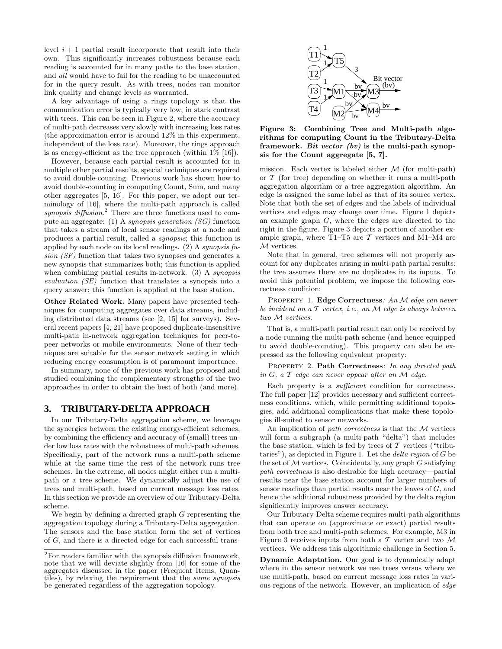level  $i + 1$  partial result incorporate that result into their own. This significantly increases robustness because each reading is accounted for in many paths to the base station, and all would have to fail for the reading to be unaccounted for in the query result. As with trees, nodes can monitor link quality and change levels as warranted.

A key advantage of using a rings topology is that the communication error is typically very low, in stark contrast with trees. This can be seen in Figure 2, where the accuracy of multi-path decreases very slowly with increasing loss rates (the approximation error is around 12% in this experiment, independent of the loss rate). Moreover, the rings approach is as energy-efficient as the tree approach (within 1% [16]).

However, because each partial result is accounted for in multiple other partial results, special techniques are required to avoid double-counting. Previous work has shown how to avoid double-counting in computing Count, Sum, and many other aggregates [5, 16]. For this paper, we adopt our terminology of [16], where the multi-path approach is called synopsis diffusion.<sup>2</sup> There are three functions used to compute an aggregate: (1) A synopsis generation (SG) function that takes a stream of local sensor readings at a node and produces a partial result, called a synopsis; this function is applied by each node on its local readings.  $(2)$  A *synopsis fu*sion (SF) function that takes two synopses and generates a new synopsis that summarizes both; this function is applied when combining partial results in-network. (3) A *synopsis* evaluation (SE) function that translates a synopsis into a query answer; this function is applied at the base station.

Other Related Work. Many papers have presented techniques for computing aggregates over data streams, including distributed data streams (see [2, 15] for surveys). Several recent papers [4, 21] have proposed duplicate-insensitive multi-path in-network aggregation techniques for peer-topeer networks or mobile environments. None of their techniques are suitable for the sensor network setting in which reducing energy consumption is of paramount importance.

In summary, none of the previous work has proposed and studied combining the complementary strengths of the two approaches in order to obtain the best of both (and more).

## **3. TRIBUTARY-DELTA APPROACH**

In our Tributary-Delta aggregation scheme, we leverage the synergies between the existing energy-efficient schemes, by combining the efficiency and accuracy of (small) trees under low loss rates with the robustness of multi-path schemes. Specifically, part of the network runs a multi-path scheme while at the same time the rest of the network runs tree schemes. In the extreme, all nodes might either run a multipath or a tree scheme. We dynamically adjust the use of trees and multi-path, based on current message loss rates. In this section we provide an overview of our Tributary-Delta scheme.

We begin by defining a directed graph  $G$  representing the aggregation topology during a Tributary-Delta aggregation. The sensors and the base station form the set of vertices of G, and there is a directed edge for each successful trans-



Figure 3: Combining Tree and Multi-path algorithms for computing Count in the Tributary-Delta framework. Bit vector (bv) is the multi-path synopsis for the Count aggregate [5, 7].

mission. Each vertex is labeled either  $M$  (for multi-path) or  $\mathcal T$  (for tree) depending on whether it runs a multi-path aggregation algorithm or a tree aggregation algorithm. An edge is assigned the same label as that of its source vertex. Note that both the set of edges and the labels of individual vertices and edges may change over time. Figure 1 depicts an example graph G, where the edges are directed to the right in the figure. Figure 3 depicts a portion of another example graph, where T1–T5 are  $\mathcal T$  vertices and M1–M4 are M vertices.

Note that in general, tree schemes will not properly account for any duplicates arising in multi-path partial results: the tree assumes there are no duplicates in its inputs. To avoid this potential problem, we impose the following correctness condition:

PROPERTY 1. Edge Correctness: An M edge can never be incident on a  $T$  vertex, i.e., an  $M$  edge is always between two M vertices.

That is, a multi-path partial result can only be received by a node running the multi-path scheme (and hence equipped to avoid double-counting). This property can also be expressed as the following equivalent property:

PROPERTY 2. Path Correctness: In any directed path in  $G$ , a  $T$  edge can never appear after an  $M$  edge.

Each property is a sufficient condition for correctness. The full paper [12] provides necessary and sufficient correctness conditions, which, while permitting additional topologies, add additional complications that make these topologies ill-suited to sensor networks.

An implication of path correctness is that the  $\mathcal M$  vertices will form a subgraph (a multi-path "delta") that includes the base station, which is fed by trees of  $\mathcal T$  vertices ("tributaries"), as depicted in Figure 1. Let the delta region of G be the set of  $M$  vertices. Coincidentally, any graph  $G$  satisfying path correctness is also desirable for high accuracy—partial results near the base station account for larger numbers of sensor readings than partial results near the leaves of  $G$ , and hence the additional robustness provided by the delta region significantly improves answer accuracy.

Our Tributary-Delta scheme requires multi-path algorithms that can operate on (approximate or exact) partial results from both tree and multi-path schemes. For example, M3 in Figure 3 receives inputs from both a  $\mathcal T$  vertex and two  $\mathcal M$ vertices. We address this algorithmic challenge in Section 5.

Dynamic Adaptation. Our goal is to dynamically adapt where in the sensor network we use trees versus where we use multi-path, based on current message loss rates in various regions of the network. However, an implication of edge

<sup>2</sup>For readers familiar with the synopsis diffusion framework, note that we will deviate slightly from [16] for some of the aggregates discussed in the paper (Frequent Items, Quantiles), by relaxing the requirement that the same synopsis be generated regardless of the aggregation topology.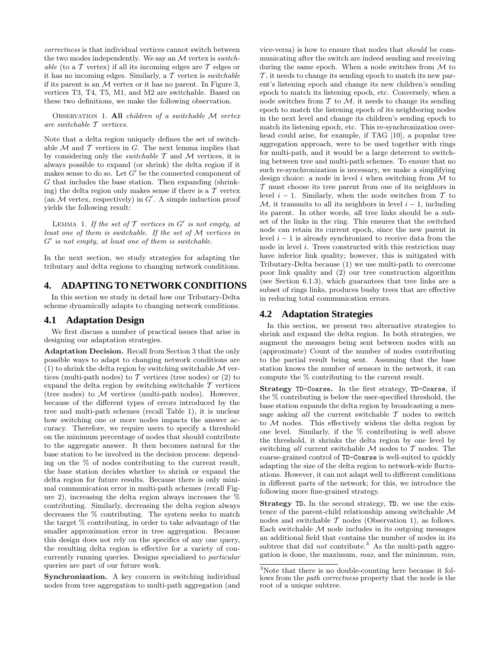correctness is that individual vertices cannot switch between the two modes independently. We say an  $M$  vertex is switchable (to a  $\mathcal T$  vertex) if all its incoming edges are  $\mathcal T$  edges or it has no incoming edges. Similarly, a  $\mathcal T$  vertex is *switchable* if its parent is an  $M$  vertex or it has no parent. In Figure 3, vertices T3, T4, T5, M1, and M2 are switchable. Based on these two definitions, we make the following observation.

OBSERVATION 1. All children of a switchable  $M$  vertex are switchable T vertices.

Note that a delta region uniquely defines the set of switchable  $M$  and  $T$  vertices in  $G$ . The next lemma implies that by considering only the *switchable*  $T$  and  $M$  vertices, it is always possible to expand (or shrink) the delta region if it makes sense to do so. Let  $G'$  be the connected component of G that includes the base station. Then expanding (shrinking) the delta region only makes sense if there is a  $\mathcal T$  vertex  $(an \mathcal{M})$  vertex, respectively) in  $G'$ . A simple induction proof yields the following result:

LEMMA 1. If the set of  $\mathcal T$  vertices in  $G'$  is not empty, at least one of them is switchable. If the set of M vertices in  $G'$  is not empty, at least one of them is switchable.

In the next section, we study strategies for adapting the tributary and delta regions to changing network conditions.

## **4. ADAPTING TO NETWORK CONDITIONS**

In this section we study in detail how our Tributary-Delta scheme dynamically adapts to changing network conditions.

## **4.1 Adaptation Design**

We first discuss a number of practical issues that arise in designing our adaptation strategies.

Adaptation Decision. Recall from Section 3 that the only possible ways to adapt to changing network conditions are (1) to shrink the delta region by switching switchable  ${\mathcal M}$  vertices (multi-path nodes) to  $T$  vertices (tree nodes) or  $(2)$  to expand the delta region by switching switchable  $\mathcal T$  vertices (tree nodes) to  $M$  vertices (multi-path nodes). However, because of the different types of errors introduced by the tree and multi-path schemes (recall Table 1), it is unclear how switching one or more nodes impacts the answer accuracy. Therefore, we require users to specify a threshold on the minimum percentage of nodes that should contribute to the aggregate answer. It then becomes natural for the base station to be involved in the decision process: depending on the % of nodes contributing to the current result, the base station decides whether to shrink or expand the delta region for future results. Because there is only minimal communication error in multi-path schemes (recall Figure 2), increasing the delta region always increases the % contributing. Similarly, decreasing the delta region always decreases the % contributing. The system seeks to match the target % contributing, in order to take advantage of the smaller approximation error in tree aggregation. Because this design does not rely on the specifics of any one query, the resulting delta region is effective for a variety of concurrently running queries. Designs specialized to particular queries are part of our future work.

Synchronization. A key concern in switching individual nodes from tree aggregation to multi-path aggregation (and vice-versa) is how to ensure that nodes that should be communicating after the switch are indeed sending and receiving during the same epoch. When a node switches from  $\mathcal M$  to  $\mathcal T$ , it needs to change its sending epoch to match its new parent's listening epoch and change its new children's sending epoch to match its listening epoch, etc. Conversely, when a node switches from  $T$  to  $M$ , it needs to change its sending epoch to match the listening epoch of its neighboring nodes in the next level and change its children's sending epoch to match its listening epoch, etc. This re-synchronization overhead could arise, for example, if TAG [10], a popular tree aggregation approach, were to be used together with rings for multi-path, and it would be a large deterrent to switching between tree and multi-path schemes. To ensure that no such re-synchronization is necessary, we make a simplifying design choice: a node in level  $i$  when switching from  ${\mathcal M}$  to T must choose its tree parent from one of its neighbors in level  $i - 1$ . Similarly, when the node switches from T to M, it transmits to all its neighbors in level  $i - 1$ , including its parent. In other words, all tree links should be a subset of the links in the ring. This ensures that the switched node can retain its current epoch, since the new parent in level  $i - 1$  is already synchronized to receive data from the node in level  $i$ . Trees constructed with this restriction may have inferior link quality; however, this is mitigated with Tributary-Delta because (1) we use multi-path to overcome poor link quality and (2) our tree construction algorithm (see Section 6.1.3), which guarantees that tree links are a subset of rings links, produces bushy trees that are effective in reducing total communication errors.

## **4.2 Adaptation Strategies**

In this section, we present two alternative strategies to shrink and expand the delta region. In both strategies, we augment the messages being sent between nodes with an (approximate) Count of the number of nodes contributing to the partial result being sent. Assuming that the base station knows the number of sensors in the network, it can compute the % contributing to the current result.

Strategy TD-Coarse. In the first strategy, TD-Coarse, if the % contributing is below the user-specified threshold, the base station expands the delta region by broadcasting a message asking *all* the current switchable  $\mathcal T$  nodes to switch to  $M$  nodes. This effectively widens the delta region by one level. Similarly, if the % contributing is well above the threshold, it shrinks the delta region by one level by switching all current switchable  $M$  nodes to  $T$  nodes. The coarse-grained control of TD-Coarse is well-suited to quickly adapting the size of the delta region to network-wide fluctuations. However, it can not adapt well to different conditions in different parts of the network; for this, we introduce the following more fine-grained strategy.

Strategy TD. In the second strategy, TD, we use the existence of the parent-child relationship among switchable M nodes and switchable  $\mathcal T$  nodes (Observation 1), as follows. Each switchable  $M$  node includes in its outgoing messages an additional field that contains the number of nodes in its subtree that did *not* contribute.<sup>3</sup> As the multi-path aggregation is done, the maximum,  $max$ , and the minimum,  $min$ ,

 ${}^{3}\mathrm{Note}$  that there is no double-counting here because it follows from the *path correctness* property that the node is the root of a unique subtree.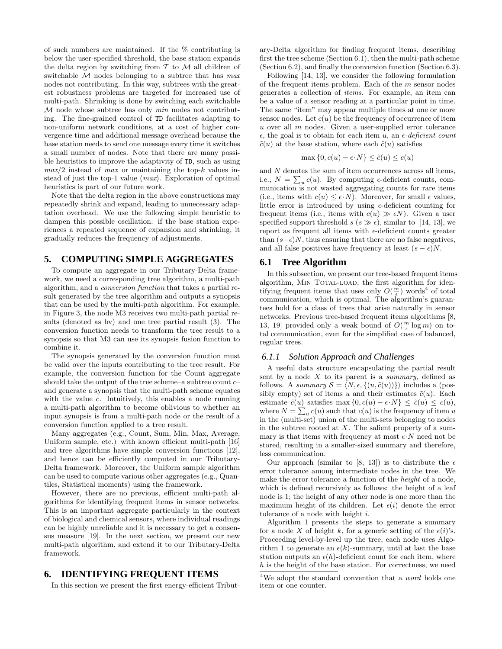of such numbers are maintained. If the % contributing is below the user-specified threshold, the base station expands the delta region by switching from  $T$  to  $M$  all children of switchable  $M$  nodes belonging to a subtree that has  $max$ nodes not contributing. In this way, subtrees with the greatest robustness problems are targeted for increased use of multi-path. Shrinking is done by switching each switchable  $M$  node whose subtree has only *min* nodes not contributing. The fine-grained control of TD facilitates adapting to non-uniform network conditions, at a cost of higher convergence time and additional message overhead because the base station needs to send one message every time it switches a small number of nodes. Note that there are many possible heuristics to improve the adaptivity of TD, such as using  $max/2$  instead of max or maintaining the top-k values instead of just the top-1 value (max). Exploration of optimal heuristics is part of our future work.

Note that the delta region in the above constructions may repeatedly shrink and expand, leading to unnecessary adaptation overhead. We use the following simple heuristic to dampen this possible oscillation: if the base station experiences a repeated sequence of expansion and shrinking, it gradually reduces the frequency of adjustments.

## **5. COMPUTING SIMPLE AGGREGATES**

To compute an aggregate in our Tributary-Delta framework, we need a corresponding tree algorithm, a multi-path algorithm, and a conversion function that takes a partial result generated by the tree algorithm and outputs a synopsis that can be used by the multi-path algorithm. For example, in Figure 3, the node M3 receives two multi-path partial results (denoted as bv) and one tree partial result (3). The conversion function needs to transform the tree result to a synopsis so that M3 can use its synopsis fusion function to combine it.

The synopsis generated by the conversion function must be valid over the inputs contributing to the tree result. For example, the conversion function for the Count aggregate should take the output of the tree scheme–a subtree count  $c$ and generate a synopsis that the multi-path scheme equates with the value c. Intuitively, this enables a node running a multi-path algorithm to become oblivious to whether an input synopsis is from a multi-path node or the result of a conversion function applied to a tree result.

Many aggregates (e.g., Count, Sum, Min, Max, Average, Uniform sample, etc.) with known efficient multi-path [16] and tree algorithms have simple conversion functions [12], and hence can be efficiently computed in our Tributary-Delta framework. Moreover, the Uniform sample algorithm can be used to compute various other aggregates (e.g., Quantiles, Statistical moments) using the framework.

However, there are no previous, efficient multi-path algorithms for identifying frequent items in sensor networks. This is an important aggregate particularly in the context of biological and chemical sensors, where individual readings can be highly unreliable and it is necessary to get a consensus measure [19]. In the next section, we present our new multi-path algorithm, and extend it to our Tributary-Delta framework.

## **6. IDENTIFYING FREQUENT ITEMS**

In this section we present the first energy-efficient Tribut-

ary-Delta algorithm for finding frequent items, describing first the tree scheme (Section 6.1), then the multi-path scheme (Section 6.2), and finally the conversion function (Section 6.3).

Following [14, 13], we consider the following formulation of the frequent items problem. Each of the m sensor nodes generates a collection of items. For example, an item can be a value of a sensor reading at a particular point in time. The same "item" may appear multiple times at one or more sensor nodes. Let  $c(u)$  be the frequency of occurrence of item u over all  $m$  nodes. Given a user-supplied error tolerance  $\epsilon$ , the goal is to obtain for each item u, an  $\epsilon$ -deficient count  $\tilde{c}(u)$  at the base station, where each  $\tilde{c}(u)$  satisfies

$$
\max\{0, c(u) - \epsilon \cdot N\} \le \tilde{c}(u) \le c(u)
$$

and  $N$  denotes the sum of item occurrences across all items, i.e.,  $N = \sum_{u} c(u)$ . By computing  $\epsilon$ -deficient counts, communication is not wasted aggregating counts for rare items (i.e., items with  $c(u) \leq \epsilon N$ ). Moreover, for small  $\epsilon$  values, little error is introduced by using  $\epsilon$ -deficient counting for frequent items (i.e., items with  $c(u) \gg \epsilon N$ ). Given a user specified support threshold  $s (s \gg \epsilon)$ , similar to [14, 13], we report as frequent all items with  $\epsilon$ -deficient counts greater than  $(s-\epsilon)N$ , thus ensuring that there are no false negatives, and all false positives have frequency at least  $(s - \epsilon)N$ .

#### **6.1 Tree Algorithm**

In this subsection, we present our tree-based frequent items algorithm, MIN TOTAL-LOAD, the first algorithm for identifying frequent items that uses only  $O(\frac{m}{\epsilon})$  words<sup>4</sup> of total communication, which is optimal. The algorithm's guarantees hold for a class of trees that arise naturally in sensor networks. Previous tree-based frequent items algorithms [8, 13, 19] provided only a weak bound of  $O(\frac{m}{\epsilon}\log m)$  on total communication, even for the simplified case of balanced, regular trees.

#### *6.1.1 Solution Approach and Challenges*

A useful data structure encapsulating the partial result sent by a node  $X$  to its parent is a *summary*, defined as follows. A summary  $S = \langle N, \epsilon, \{(u, \tilde{c}(u))\}\rangle$  includes a (possibly empty) set of items u and their estimates  $\tilde{c}(u)$ . Each estimate  $\tilde{c}(u)$  satisfies max  $\{0, c(u) - \epsilon \cdot N\} \leq \tilde{c}(u) \leq c(u)$ , where  $N = \sum_{u} c(u)$  such that  $c(u)$  is the frequency of item u in the (multi-set) union of the multi-sets belonging to nodes in the subtree rooted at  $X$ . The salient property of a summary is that items with frequency at most  $\epsilon N$  need not be stored, resulting in a smaller-sized summary and therefore, less communication.

Our approach (similar to [8, 13]) is to distribute the  $\epsilon$ error tolerance among intermediate nodes in the tree. We make the error tolerance a function of the height of a node, which is defined recursively as follows: the height of a leaf node is 1; the height of any other node is one more than the maximum height of its children. Let  $\epsilon(i)$  denote the error tolerance of a node with height i.

Algorithm 1 presents the steps to generate a summary for a node X of height k, for a generic setting of the  $\epsilon(i)$ 's. Proceeding level-by-level up the tree, each node uses Algorithm 1 to generate an  $\epsilon(k)$ -summary, until at last the base station outputs an  $\epsilon(h)$ -deficient count for each item, where h is the height of the base station. For correctness, we need

<sup>4</sup>We adopt the standard convention that a word holds one item or one counter.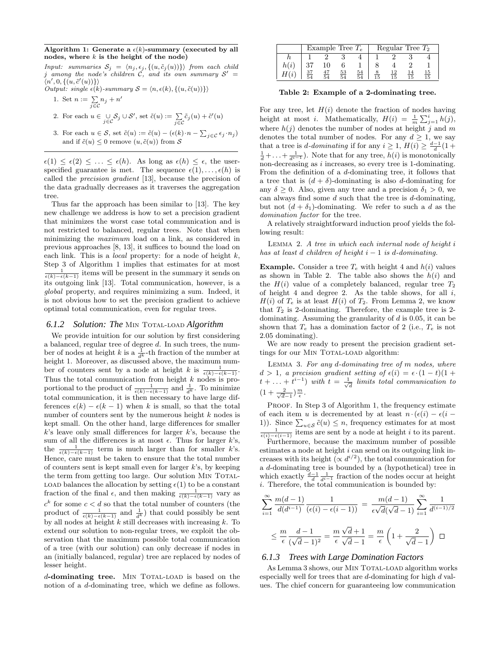#### Algorithm 1: Generate a  $\epsilon(k)$ -summary (executed by all nodes, where  $k$  is the height of the node)

Input: summaries  $S_j = \langle n_j, \epsilon_j, \{(u, \tilde{c}_j(u))\}\rangle$  from each child j among the node's children  $C$ , and its own summary  $S' =$  $\langle n', 0, \{(u, \tilde{c}'(u))\}\rangle$ 

Output: single  $\epsilon(k)$ -summary  $S = \langle n, \epsilon(k), \{(u, \tilde{c}(u))\}\rangle$ 

 $\overline{a}$ 

1. Set 
$$
n := \sum_{j \in \mathcal{C}} n_j + n
$$

2. For each 
$$
u \in \bigcup_{j \in C} S_j \cup S'
$$
, set  $\tilde{c}(u) := \sum_{j \in C} \tilde{c}_j(u) + \tilde{c}'(u)$ 

3. For each  $u \in S$ , set  $\tilde{c}(u) := \tilde{c}(u) - (\epsilon(k) \cdot n - \sum_{j \in C} \epsilon_j \cdot n_j)$ and if  $\tilde{c}(u) \leq 0$  remove  $(u, \tilde{c}(u))$  from S

 $\epsilon(1) \leq \epsilon(2) \leq \ldots \leq \epsilon(h)$ . As long as  $\epsilon(h) \leq \epsilon$ , the userspecified guarantee is met. The sequence  $\epsilon(1), \ldots, \epsilon(h)$  is called the precision gradient [13], because the precision of the data gradually decreases as it traverses the aggregation tree.

Thus far the approach has been similar to [13]. The key new challenge we address is how to set a precision gradient that minimizes the worst case total communication and is not restricted to balanced, regular trees. Note that when minimizing the maximum load on a link, as considered in previous approaches [8, 13], it suffices to bound the load on each link. This is a *local* property: for a node of height  $k$ , Step 3 of Algorithm 1 implies that estimates for at most  $\frac{1}{\epsilon(k)-\epsilon(k-1)}$  items will be present in the summary it sends on its outgoing link [13]. Total communication, however, is a global property, and requires minimizing a sum. Indeed, it is not obvious how to set the precision gradient to achieve optimal total communication, even for regular trees.

#### *6.1.2 Solution: The* Min Total-load *Algorithm*

We provide intuition for our solution by first considering a balanced, regular tree of degree d. In such trees, the number of nodes at height k is a  $\frac{1}{d^k}$ -th fraction of the number at height 1. Moreover, as discussed above, the maximum number of counters sent by a node at height k is  $\frac{1}{\epsilon(k)-\epsilon(k-1)}$ . Thus the total communication from height k nodes is proportional to the product of  $\frac{1}{\epsilon(k)-\epsilon(k-1)}$  and  $\frac{1}{d^k}$ . To minimize total communication, it is then necessary to have large differences  $\epsilon(k) - \epsilon(k-1)$  when k is small, so that the total number of counters sent by the numerous height  $k$  nodes is kept small. On the other hand, large differences for smaller  $k$ 's leave only small differences for larger  $k$ 's, because the sum of all the differences is at most  $\epsilon$ . Thus for larger k's, the  $\frac{1}{\epsilon(k)-\epsilon(k-1)}$  term is much larger than for smaller k's. Hence, care must be taken to ensure that the total number of counters sent is kept small even for larger  $k$ 's, by keeping the term from getting too large. Our solution MIN TOTAL- $\texttt{\textsc{loop}}$  balances the allocation by setting  $\epsilon(1)$  to be a constant fraction of the final  $\epsilon$ , and then making  $\frac{1}{\epsilon(k)-\epsilon(k-1)}$  vary as  $c<sub>k</sub>$  for some  $c < d$  so that the total number of counters (the product of  $\frac{1}{\epsilon(k)-\epsilon(k-1)}$  and  $\frac{1}{d^k}$ ) that could possibly be sent by all nodes at height  $k$  still decreases with increasing  $k$ . To extend our solution to non-regular trees, we exploit the observation that the maximum possible total communication of a tree (with our solution) can only decrease if nodes in an (initially balanced, regular) tree are replaced by nodes of lesser height.

d-dominating tree. MIN TOTAL-LOAD is based on the notion of a d-dominating tree, which we define as follows.

|      | Example Tree $T_e$ |  |          |          | Regular Tree $T_2$ |    |  |                 |  |
|------|--------------------|--|----------|----------|--------------------|----|--|-----------------|--|
|      |                    |  |          |          |                    |    |  |                 |  |
| h(i) |                    |  |          |          |                    |    |  |                 |  |
|      |                    |  | 53<br>54 | 54<br>54 |                    | 12 |  | <u>15</u><br>15 |  |

Table 2: Example of a 2-dominating tree.

For any tree, let  $H(i)$  denote the fraction of nodes having height at most *i*. Mathematically,  $H(i) = \frac{1}{m} \sum_{j=1}^{i} h(j)$ , where  $h(j)$  denotes the number of nodes at height j and m denotes the total number of nodes. For any  $d \geq 1$ , we say that a tree is *d*-dominating if for any  $i \geq 1$ ,  $H(i) \geq \frac{d-1}{d}(1 +$  $\frac{1}{d} + \ldots + \frac{1}{d^{i-1}}$ . Note that for any tree,  $h(i)$  is monotonically non-decreasing as i increases, so every tree is 1-dominating. From the definition of a d-dominating tree, it follows that a tree that is  $(d + \delta)$ -dominating is also d-dominating for any  $\delta \geq 0$ . Also, given any tree and a precision  $\delta_1 > 0$ , we can always find some  $d$  such that the tree is  $d$ -dominating, but not  $(d + \delta_1)$ -dominating. We refer to such a d as the domination factor for the tree.

A relatively straightforward induction proof yields the following result:

Lemma 2. A tree in which each internal node of height i has at least d children of height  $i - 1$  is d-dominating.

**Example.** Consider a tree  $T_e$  with height 4 and  $h(i)$  values as shown in Table 2. The table also shows the  $h(i)$  and the  $H(i)$  value of a completely balanced, regular tree  $T_2$ of height 4 and degree 2. As the table shows, for all  $i$ ,  $H(i)$  of  $T_e$  is at least  $H(i)$  of  $T_2$ . From Lemma 2, we know that  $T_2$  is 2-dominating. Therefore, the example tree is 2dominating. Assuming the granularity of  $d$  is 0.05, it can be shown that  $T_e$  has a domination factor of 2 (i.e.,  $T_e$  is not 2.05 dominating).

We are now ready to present the precision gradient settings for our MIN TOTAL-LOAD algorithm:

LEMMA 3. For any  $d$ -dominating tree of  $m$  nodes, where  $d > 1$ , a precision gradient setting of  $\epsilon(i) = \epsilon \cdot (1 - t)(1 +$  $t + \ldots + t^{i-1}$  with  $t = \frac{1}{\sqrt{d}}$  limits total communication to  $\left(1+\frac{2}{\sqrt{d}-1}\right)\frac{m}{\epsilon}.$ 

PROOF. In Step 3 of Algorithm 1, the frequency estimate of each item u is decremented by at least  $n \cdot (\epsilon(i) - \epsilon(i -$ 1)). Since  $\sum_{u \in \mathcal{S}} \tilde{c}(u) \leq n$ , frequency estimates for at most  $\frac{1}{\epsilon(i)-\epsilon(i-1)}$  items are sent by a node at height *i* to its parent.

Furthermore, because the maximum number of possible estimates a node at height  $i$  can send on its outgoing link increases with its height  $(\propto d^{i/2})$ , the total communication for a d-dominating tree is bounded by a (hypothetical) tree in which exactly  $\frac{d-1}{d} \frac{1}{d^{i-1}}$  fraction of the nodes occur at height i. Therefore, the total communication is bounded by:

$$
\sum_{i=1}^{\infty} \frac{m(d-1)}{d(d^{i-1})} \frac{1}{(\epsilon(i) - \epsilon(i-1))} = \frac{m(d-1)}{\epsilon \sqrt{d}(\sqrt{d}-1)} \sum_{i=1}^{\infty} \frac{1}{d^{(i-1)/2}}
$$

$$
\leq \frac{m}{\epsilon} \frac{d-1}{(\sqrt{d}-1)^2} = \frac{m}{\epsilon} \frac{\sqrt{d}+1}{\sqrt{d}-1} = \frac{m}{\epsilon} \left(1 + \frac{2}{\sqrt{d}-1}\right) \Box
$$

#### *6.1.3 Trees with Large Domination Factors*

As Lemma 3 shows, our MIN TOTAL-LOAD algorithm works especially well for trees that are  $d$ -dominating for high  $d$  values. The chief concern for guaranteeing low communication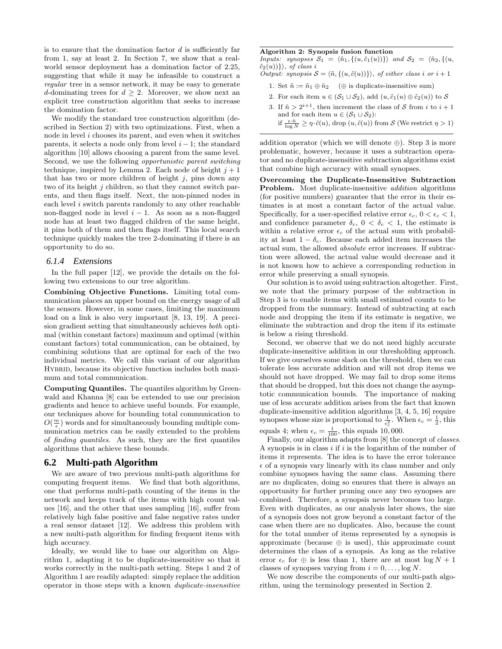is to ensure that the domination factor  $d$  is sufficiently far from 1, say at least 2. In Section 7, we show that a realworld sensor deployment has a domination factor of 2.25, suggesting that while it may be infeasible to construct a regular tree in a sensor network, it may be easy to generate d-dominating trees for  $d > 2$ . Moreover, we show next an explicit tree construction algorithm that seeks to increase the domination factor.

We modify the standard tree construction algorithm (described in Section 2) with two optimizations. First, when a node in level  $i$  chooses its parent, and even when it switches parents, it selects a node only from level  $i - 1$ ; the standard algorithm [10] allows choosing a parent from the same level. Second, we use the following opportunistic parent switching technique, inspired by Lemma 2. Each node of height  $j+1$ that has two or more children of height  $j$ , pins down any two of its height  $j$  children, so that they cannot switch parents, and then flags itself. Next, the non-pinned nodes in each level i switch parents randomly to any other reachable non-flagged node in level  $i - 1$ . As soon as a non-flagged node has at least two flagged children of the same height, it pins both of them and then flags itself. This local search technique quickly makes the tree 2-dominating if there is an opportunity to do so.

#### *6.1.4 Extensions*

In the full paper [12], we provide the details on the following two extensions to our tree algorithm.

Combining Objective Functions. Limiting total communication places an upper bound on the energy usage of all the sensors. However, in some cases, limiting the maximum load on a link is also very important [8, 13, 19]. A precision gradient setting that simultaneously achieves both optimal (within constant factors) maximum and optimal (within constant factors) total communication, can be obtained, by combining solutions that are optimal for each of the two individual metrics. We call this variant of our algorithm HYBRID, because its objective function includes both maximum and total communication.

Computing Quantiles. The quantiles algorithm by Greenwald and Khanna [8] can be extended to use our precision gradients and hence to achieve useful bounds. For example, our techniques above for bounding total communication to  $O(\frac{m}{\epsilon})$  words and for simultaneously bounding multiple communication metrics can be easily extended to the problem of finding quantiles. As such, they are the first quantiles algorithms that achieve these bounds.

#### **6.2 Multi-path Algorithm**

We are aware of two previous multi-path algorithms for computing frequent items. We find that both algorithms, one that performs multi-path counting of the items in the network and keeps track of the items with high count values [16], and the other that uses sampling [16], suffer from relatively high false positive and false negative rates under a real sensor dataset [12]. We address this problem with a new multi-path algorithm for finding frequent items with high accuracy.

Ideally, we would like to base our algorithm on Algorithm 1, adapting it to be duplicate-insensitive so that it works correctly in the multi-path setting. Steps 1 and 2 of Algorithm 1 are readily adapted: simply replace the addition operator in those steps with a known duplicate-insensitive

#### Algorithm 2: Synopsis fusion function

Inputs: synopses  $S_1 = \langle \tilde{n}_1, \{(u, \tilde{c}_1(u))\}\rangle$  and  $S_2 = \langle \tilde{n}_2, \{(u, \tilde{c}_2(u))\}\rangle$  $\tilde{c}_2(u)\}\rangle, \text{ of class } i$ Output: synopsis  $S = \langle \tilde{n}, \{(u, \tilde{c}(u))\}\rangle$ , of either class i or  $i + 1$ 

- 
- 1. Set  $\tilde{n} := \tilde{n}_1 \oplus \tilde{n}_2$  ( $\oplus$  is duplicate-insensitive sum)
- 2. For each item  $u \in (\mathcal{S}_1 \cup \mathcal{S}_2)$ , add  $(u, \tilde{c}_1(u) \oplus \tilde{c}_2(u))$  to S
- 3. If  $\tilde{n} > 2^{i+1}$ , then increment the class of S from i to  $i+1$ and for each item  $u \in (\mathcal{S}_1 \cup \mathcal{S}_2)$ :
	- if  $\frac{\epsilon \cdot \tilde{n}}{\log N} \geq \eta \cdot \tilde{c}(u)$ , drop  $(u, \tilde{c}(u))$  from S (We restrict  $\eta > 1$ )

addition operator (which we will denote  $\oplus$ ). Step 3 is more problematic, however, because it uses a subtraction operator and no duplicate-insensitive subtraction algorithms exist that combine high accuracy with small synopses.

Overcoming the Duplicate-Insensitive Subtraction Problem. Most duplicate-insensitive addition algorithms (for positive numbers) guarantee that the error in their estimates is at most a constant factor of the actual value. Specifically, for a user-specified relative error  $\epsilon_c$ ,  $0 < \epsilon_c < 1$ , and confidence parameter  $\delta_c$ ,  $0 < \delta_c < 1$ , the estimate is within a relative error  $\epsilon_c$  of the actual sum with probability at least  $1 - \delta_c$ . Because each added item increases the actual sum, the allowed absolute error increases. If subtraction were allowed, the actual value would decrease and it is not known how to achieve a corresponding reduction in error while preserving a small synopsis.

Our solution is to avoid using subtraction altogether. First, we note that the primary purpose of the subtraction in Step 3 is to enable items with small estimated counts to be dropped from the summary. Instead of subtracting at each node and dropping the item if its estimate is negative, we eliminate the subtraction and drop the item if its estimate is below a rising threshold.

Second, we observe that we do not need highly accurate duplicate-insensitive addition in our thresholding approach. If we give ourselves some slack on the threshold, then we can tolerate less accurate addition and will not drop items we should not have dropped. We may fail to drop some items that should be dropped, but this does not change the asymptotic communication bounds. The importance of making use of less accurate addition arises from the fact that known duplicate-insensitive addition algorithms [3, 4, 5, 16] require synopses whose size is proportional to  $\frac{1}{\epsilon_c^2}$ . When  $\epsilon_c = \frac{1}{2}$ , this equals 4; when  $\epsilon_c = \frac{1}{100}$ , this equals 10,000.

Finally, our algorithm adapts from [8] the concept of *classes*. A synopsis is in class  $i$  if  $i$  is the logarithm of the number of items it represents. The idea is to have the error tolerance  $\epsilon$  of a synopsis vary linearly with its class number and only combine synopses having the same class. Assuming there are no duplicates, doing so ensures that there is always an opportunity for further pruning once any two synopses are combined. Therefore, a synopsis never becomes too large. Even with duplicates, as our analysis later shows, the size of a synopsis does not grow beyond a constant factor of the case when there are no duplicates. Also, because the count for the total number of items represented by a synopsis is approximate (because  $\oplus$  is used), this approximate count determines the class of a synopsis. As long as the relative error  $\epsilon_c$  for  $\oplus$  is less than 1, there are at most  $\log N + 1$ classes of synopses varying from  $i = 0, \ldots, \log N$ .

We now describe the components of our multi-path algorithm, using the terminology presented in Section 2.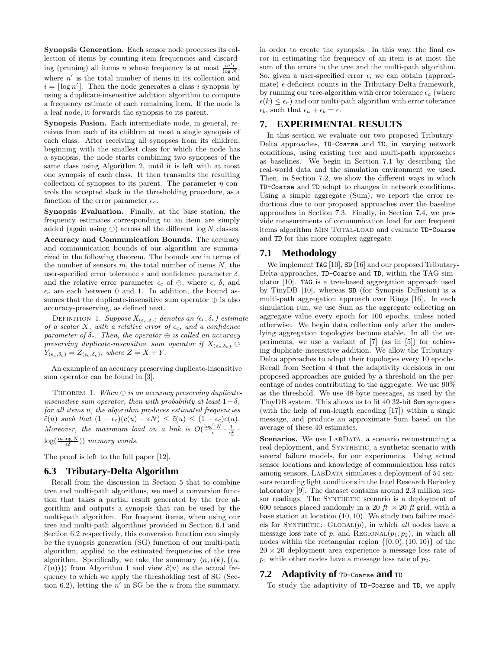Synopsis Generation. Each sensor node processes its collection of items by counting item frequencies and discarding (pruning) all items u whose frequency is at most  $\frac{in' \epsilon}{\log N}$ , where  $n'$  is the total number of items in its collection and  $i = \lfloor \log n' \rfloor$ . Then the node generates a class i synopsis by using a duplicate-insensitive addition algorithm to compute a frequency estimate of each remaining item. If the node is a leaf node, it forwards the synopsis to its parent.

Synopsis Fusion. Each intermediate node, in general, receives from each of its children at most a single synopsis of each class. After receiving all synopses from its children, beginning with the smallest class for which the node has a synopsis, the node starts combining two synopses of the same class using Algorithm 2, until it is left with at most one synopsis of each class. It then transmits the resulting collection of synopses to its parent. The parameter  $\eta$  controls the accepted slack in the thresholding procedure, as a function of the error parameter  $\epsilon_c$ .

Synopsis Evaluation. Finally, at the base station, the frequency estimates corresponding to an item are simply added (again using  $oplus$ ) across all the different log N classes.

Accuracy and Communication Bounds. The accuracy and communication bounds of our algorithm are summarized in the following theorem. The bounds are in terms of the number of sensors  $m$ , the total number of items  $N$ , the user-specified error tolerance  $\epsilon$  and confidence parameter  $\delta$ , and the relative error parameter  $\epsilon_c$  of  $\oplus$ , where  $\epsilon$ ,  $\delta$ , and  $\epsilon_c$  are each between 0 and 1. In addition, the bound assumes that the duplicate-insensitive sum operator  $\oplus$  is also accuracy-preserving, as defined next.

DEFINITION 1. Suppose  $X_{(\epsilon_c,\delta_c)}$  denotes an  $(\epsilon_c,\delta_c)$ -estimate of a scalar X, with a relative error of  $\epsilon_c$ , and a confidence parameter of  $\delta_c$ . Then, the operator  $\oplus$  is called an accuracy preserving duplicate-insensitive sum operator if  $X_{(\epsilon_c,\delta_c)} \oplus$  $Y_{(\epsilon_c,\delta_c)} = Z_{(\epsilon_c,\delta_c)}$ , where  $Z = X + Y$ .

An example of an accuracy preserving duplicate-insensitive sum operator can be found in [3].

THEOREM 1. When  $\oplus$  is an accuracy preserving duplicateinsensitive sum operator, then with probability at least  $1-\delta$ , for all items u, the algorithm produces estimated frequencies  $\tilde{c}(u)$  such that  $(1 - \epsilon_c)(c(u) - \epsilon N) \leq \tilde{c}(u) \leq (1 + \epsilon_c)c(u).$ Moreover, the maximum load on a link is  $O(\frac{\log^2 N}{\epsilon} \cdot \frac{1}{\epsilon_c^2})$ .  $log(\frac{m \log N}{\epsilon \delta}))$  memory words.

The proof is left to the full paper [12].

## **6.3 Tributary-Delta Algorithm**

Recall from the discussion in Section 5 that to combine tree and multi-path algorithms, we need a conversion function that takes a partial result generated by the tree algorithm and outputs a synopsis that can be used by the multi-path algorithm. For frequent items, when using our tree and multi-path algorithms provided in Section 6.1 and Section 6.2 respectively, this conversion function can simply be the synopsis generation (SG) function of our multi-path algorithm, applied to the estimated frequencies of the tree algorithm. Specifically, we take the summary  $\langle n, \epsilon(k), \{ (u, \epsilon(k)) \} \rangle$  $\tilde{c}(u)$ } from Algorithm 1 and view  $\tilde{c}(u)$  as the actual frequency to which we apply the thresholding test of SG (Section 6.2), letting the  $n'$  in SG be the n from the summary,

in order to create the synopsis. In this way, the final error in estimating the frequency of an item is at most the sum of the errors in the tree and the multi-path algorithm. So, given a user-specified error  $\epsilon$ , we can obtain (approximate)  $\epsilon$ -deficient counts in the Tributary-Delta framework, by running our tree-algorithm with error tolerance  $\epsilon_a$  (where  $\epsilon(k) \leq \epsilon_a$ ) and our multi-path algorithm with error tolerance  $\epsilon_b$ , such that  $\epsilon_a + \epsilon_b = \epsilon$ .

## **7. EXPERIMENTAL RESULTS**

In this section we evaluate our two proposed Tributary-Delta approaches, TD-Coarse and TD, in varying network conditions, using existing tree and multi-path approaches as baselines. We begin in Section 7.1 by describing the real-world data and the simulation environment we used. Then, in Section 7.2, we show the different ways in which TD-Coarse and TD adapt to changes in network conditions. Using a simple aggregate (Sum), we report the error reductions due to our proposed approaches over the baseline approaches in Section 7.3. Finally, in Section 7.4, we provide measurements of communication load for our frequent items algorithm MIN TOTAL-LOAD and evaluate TD-Coarse and TD for this more complex aggregate.

#### **7.1 Methodology**

We implement TAG [10], SD [16] and our proposed Tributary-Delta approaches, TD-Coarse and TD, within the TAG simulator [10]. TAG is a tree-based aggregation approach used by TinyDB [10], whereas SD (for Synopsis Diffusion) is a multi-path aggregation approach over Rings [16]. In each simulation run, we use Sum as the aggregate collecting an aggregate value every epoch for 100 epochs, unless noted otherwise. We begin data collection only after the underlying aggregation topologies become stable. In all the experiments, we use a variant of [7] (as in [5]) for achieving duplicate-insensitive addition. We allow the Tributary-Delta approaches to adapt their topologies every 10 epochs. Recall from Section 4 that the adaptivity decisions in our proposed approaches are guided by a threshold on the percentage of nodes contributing to the aggregate. We use 90% as the threshold. We use 48-byte messages, as used by the TinyDB system. This allows us to fit 40 32-bit Sum synopses (with the help of run-length encoding [17]) within a single message, and produce an approximate Sum based on the average of these 40 estimates.

Scenarios. We use LABDATA, a scenario reconstructing a real deployment, and Synthetic, a synthetic scenario with several failure models, for our experiments. Using actual sensor locations and knowledge of communication loss rates among sensors, LABDATA simulates a deployment of 54 sensors recording light conditions in the Intel Research Berkeley laboratory [9]. The dataset contains around 2.3 million sensor readings. The SYNTHETIC scenario is a deployment of 600 sensors placed randomly in a 20  $ft \times 20$  ft grid, with a base station at location (10, 10). We study two failure models for SYNTHETIC:  $GLOBAL(p)$ , in which all nodes have a message loss rate of p, and REGIONAL $(p_1, p_2)$ , in which all nodes within the rectangular region  $\{(0,0), (10,10)\}\$  of the  $20 \times 20$  deployment area experience a message loss rate of  $p_1$  while other nodes have a message loss rate of  $p_2$ .

## **7.2 Adaptivity of** TD-Coarse **and** TD

To study the adaptivity of TD-Coarse and TD, we apply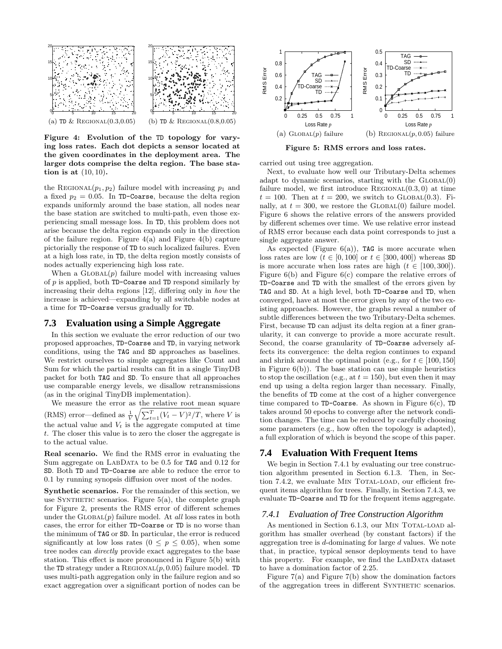

Figure 4: Evolution of the TD topology for varying loss rates. Each dot depicts a sensor located at the given coordinates in the deployment area. The larger dots comprise the delta region. The base station is at  $(10, 10)$ .

the REGIONAL $(p_1, p_2)$  failure model with increasing  $p_1$  and a fixed  $p_2 = 0.05$ . In TD-Coarse, because the delta region expands uniformly around the base station, all nodes near the base station are switched to multi-path, even those experiencing small message loss. In TD, this problem does not arise because the delta region expands only in the direction of the failure region. Figure  $4(a)$  and Figure  $4(b)$  capture pictorially the response of TD to such localized failures. Even at a high loss rate, in TD, the delta region mostly consists of nodes actually experiencing high loss rate.

When a  $GLOBAL(p)$  failure model with increasing values of  $p$  is applied, both **TD-Coarse** and **TD** respond similarly by increasing their delta regions [12], differing only in how the increase is achieved—expanding by all switchable nodes at a time for TD-Coarse versus gradually for TD.

#### **7.3 Evaluation using a Simple Aggregate**

In this section we evaluate the error reduction of our two proposed approaches, TD-Coarse and TD, in varying network conditions, using the TAG and SD approaches as baselines. We restrict ourselves to simple aggregates like Count and Sum for which the partial results can fit in a single TinyDB packet for both TAG and SD. To ensure that all approaches use comparable energy levels, we disallow retransmissions (as in the original TinyDB implementation).

We measure the error as the relative root mean square (RMS) error—defined as  $\frac{1}{V} \sqrt{\sum_{t=1}^{T} (V_t - V)^2 / T}$ , where V is the actual value and  $V_t$  is the aggregate computed at time t. The closer this value is to zero the closer the aggregate is to the actual value.

Real scenario. We find the RMS error in evaluating the Sum aggregate on LABDATA to be 0.5 for TAG and 0.12 for SD. Both TD and TD-Coarse are able to reduce the error to 0.1 by running synopsis diffusion over most of the nodes.

Synthetic scenarios. For the remainder of this section, we use SYNTHETIC scenarios. Figure  $5(a)$ , the complete graph for Figure 2, presents the RMS error of different schemes under the  $GLOBAL(p)$  failure model. At all loss rates in both cases, the error for either TD-Coarse or TD is no worse than the minimum of TAG or SD. In particular, the error is reduced significantly at low loss rates  $(0 \le p \le 0.05)$ , when some tree nodes can directly provide exact aggregates to the base station. This effect is more pronounced in Figure 5(b) with the TD strategy under a REGIONAL $(p, 0.05)$  failure model. TD uses multi-path aggregation only in the failure region and so exact aggregation over a significant portion of nodes can be



Figure 5: RMS errors and loss rates.

carried out using tree aggregation.

Next, to evaluate how well our Tributary-Delta schemes adapt to dynamic scenarios, starting with the  $GLOBAL(0)$ failure model, we first introduce  $REGIONAL(0.3, 0)$  at time  $t = 100$ . Then at  $t = 200$ , we switch to GLOBAL(0.3). Finally, at  $t = 300$ , we restore the GLOBAL $(0)$  failure model. Figure 6 shows the relative errors of the answers provided by different schemes over time. We use relative error instead of RMS error because each data point corresponds to just a single aggregate answer.

As expected (Figure  $6(a)$ ), TAG is more accurate when loss rates are low  $(t \in [0, 100]$  or  $t \in [300, 400]$ ) whereas SD is more accurate when loss rates are high  $(t \in [100, 300])$ . Figure 6(b) and Figure 6(c) compare the relative errors of TD-Coarse and TD with the smallest of the errors given by TAG and SD. At a high level, both TD-Coarse and TD, when converged, have at most the error given by any of the two existing approaches. However, the graphs reveal a number of subtle differences between the two Tributary-Delta schemes. First, because TD can adjust its delta region at a finer granularity, it can converge to provide a more accurate result. Second, the coarse granularity of TD-Coarse adversely affects its convergence: the delta region continues to expand and shrink around the optimal point (e.g., for  $t \in [100, 150]$ ) in Figure  $6(b)$ ). The base station can use simple heuristics to stop the oscillation (e.g., at  $t = 150$ ), but even then it may end up using a delta region larger than necessary. Finally, the benefits of TD come at the cost of a higher convergence time compared to  $TD$ -Coarse. As shown in Figure  $6(c)$ ,  $TD$ takes around 50 epochs to converge after the network condition changes. The time can be reduced by carefully choosing some parameters (e.g., how often the topology is adapted), a full exploration of which is beyond the scope of this paper.

## **7.4 Evaluation With Frequent Items**

We begin in Section 7.4.1 by evaluating our tree construction algorithm presented in Section 6.1.3. Then, in Section 7.4.2, we evaluate MIN TOTAL-LOAD, our efficient frequent items algorithm for trees. Finally, in Section 7.4.3, we evaluate TD-Coarse and TD for the frequent items aggregate.

#### *7.4.1 Evaluation of Tree Construction Algorithm*

As mentioned in Section 6.1.3, our MIN TOTAL-LOAD algorithm has smaller overhead (by constant factors) if the aggregation tree is d-dominating for large d values. We note that, in practice, typical sensor deployments tend to have this property. For example, we find the LabData dataset to have a domination factor of 2.25.

Figure 7(a) and Figure 7(b) show the domination factors of the aggregation trees in different SYNTHETIC scenarios.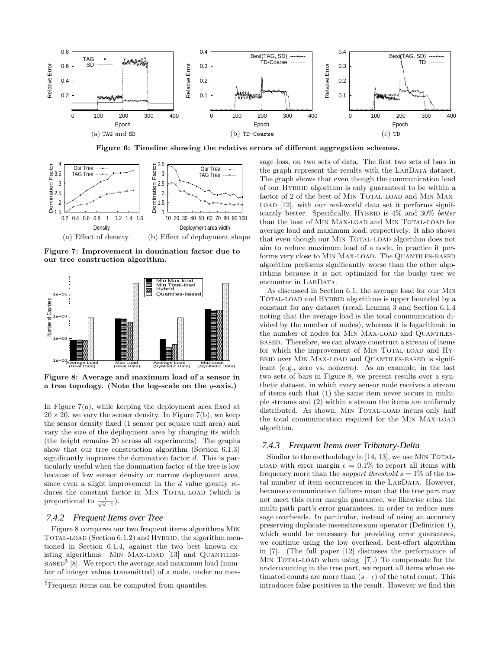

Figure 6: Timeline showing the relative errors of different aggregation schemes.



Figure 7: Improvement in domination factor due to our tree construction algorithm.



Figure 8: Average and maximum load of a sensor in a tree topology. (Note the log-scale on the y-axis.)

In Figure 7(a), while keeping the deployment area fixed at  $20 \times 20$ , we vary the sensor density. In Figure 7(b), we keep the sensor density fixed (1 sensor per square unit area) and vary the size of the deployment area by changing its width (the height remains 20 across all experiments). The graphs show that our tree construction algorithm (Section 6.1.3) significantly improves the domination factor d. This is particularly useful when the domination factor of the tree is low because of low sensor density or narrow deployment area, since even a slight improvement in the d value greatly reduces the constant factor in MIN TOTAL-LOAD (which is proportional to  $\frac{1}{\sqrt{d}-1}$ ).

#### *7.4.2 Frequent Items over Tree*

Figure 8 compares our two frequent items algorithms Min TOTAL-LOAD (Section  $6.1.2$ ) and HYBRID, the algorithm mentioned in Section 6.1.4, against the two best known existing algorithms: MIN MAX-LOAD [13] and QUANTILES-BASED<sup>5</sup> [8]. We report the average and maximum load (number of integer values transmitted) of a node, under no message loss, on two sets of data. The first two sets of bars in the graph represent the results with the LABDATA dataset. The graph shows that even though the communication load of our HYBRID algorithm is only guaranteed to be within a factor of 2 of the best of MIN TOTAL-LOAD and MIN MAX- $LOAD$  [12], with our real-world data set it performs significantly better. Specifically, HYBRID is  $4\%$  and  $30\%$  better than the best of MIN MAX-LOAD and MIN TOTAL-LOAD for average load and maximum load, respectively. It also shows that even though our MIN TOTAL-LOAD algorithm does not aim to reduce maximum load of a node, in practice it performs very close to MIN MAX-LOAD. The QUANTILES-BASED algorithm performs significantly worse than the other algorithms because it is not optimized for the bushy tree we encounter in LABDATA.

As discussed in Section 6.1, the average load for our Min TOTAL-LOAD and HYBRID algorithms is upper bounded by a constant for any dataset (recall Lemma 3 and Section 6.1.4 noting that the average load is the total communication divided by the number of nodes), whereas it is logarithmic in the number of nodes for MIN MAX-LOAD and QUANTILESbased. Therefore, we can always construct a stream of items for which the improvement of MIN TOTAL-LOAD and HYbrid over Min Max-load and Quantiles-based is significant (e.g., zero vs. nonzero). As an example, in the last two sets of bars in Figure 8, we present results over a synthetic dataset, in which every sensor node receives a stream of items such that (1) the same item never occurs in multiple streams and (2) within a stream the items are uniformly distributed. As shown, MIN TOTAL-LOAD incurs only half the total communication required for the Min Max-load algorithm.

#### *7.4.3 Frequent Items over Tributary-Delta*

Similar to the methodology in  $[14, 13]$ , we use MIN TOTAL-LOAD with error margin  $\epsilon = 0.1\%$  to report all items with frequency more than the *support threshold*  $s = 1\%$  of the total number of item occurrences in the LABDATA. However, because communication failures mean that the tree part may not meet this error margin guarantee, we likewise relax the multi-path part's error guarantees, in order to reduce message overheads. In particular, instead of using an accuracy preserving duplicate-insensitive sum operator (Definition 1), which would be necessary for providing error guarantees, we continue using the low overhead, best-effort algorithm in [7]. (The full paper [12] discusses the performance of MIN TOTAL-LOAD when using [7].) To compensate for the undercounting in the tree part, we report all items whose estimated counts are more than  $(s-\epsilon)$  of the total count. This introduces false positives in the result. However we find this

<sup>&</sup>lt;sup>5</sup>Frequent items can be computed from quantiles.